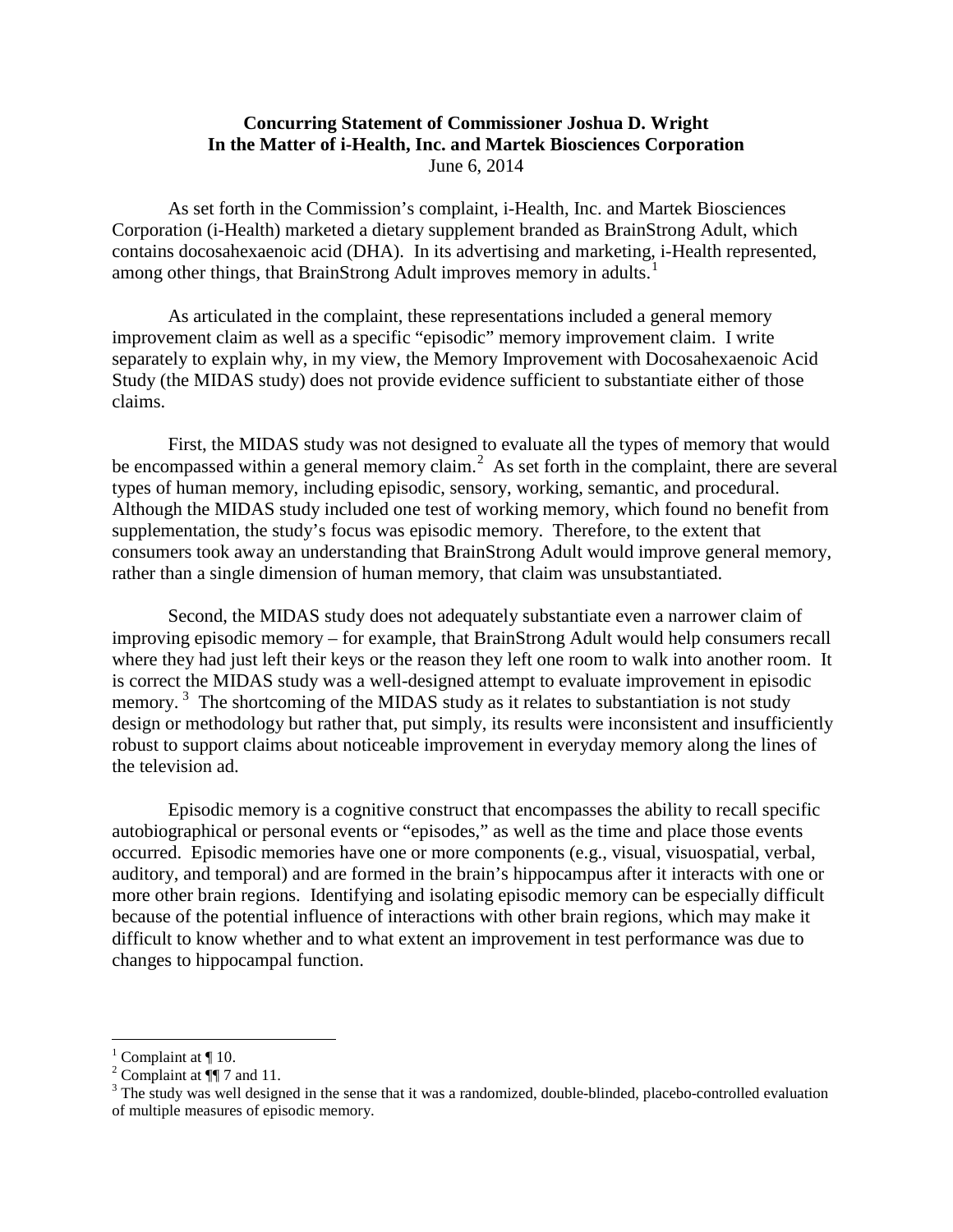## **Concurring Statement of Commissioner Joshua D. Wright In the Matter of i-Health, Inc. and Martek Biosciences Corporation** June 6, 2014

As set forth in the Commission's complaint, i-Health, Inc. and Martek Biosciences Corporation (i-Health) marketed a dietary supplement branded as BrainStrong Adult, which contains docosahexaenoic acid (DHA). In its advertising and marketing, i-Health represented, among other things, that BrainStrong Adult improves memory in adults.<sup>[1](#page-0-0)</sup>

As articulated in the complaint, these representations included a general memory improvement claim as well as a specific "episodic" memory improvement claim. I write separately to explain why, in my view, the Memory Improvement with Docosahexaenoic Acid Study (the MIDAS study) does not provide evidence sufficient to substantiate either of those claims.

First, the MIDAS study was not designed to evaluate all the types of memory that would be encompassed within a general memory claim.<sup>[2](#page-0-1)</sup> As set forth in the complaint, there are several types of human memory, including episodic, sensory, working, semantic, and procedural. Although the MIDAS study included one test of working memory, which found no benefit from supplementation, the study's focus was episodic memory. Therefore, to the extent that consumers took away an understanding that BrainStrong Adult would improve general memory, rather than a single dimension of human memory, that claim was unsubstantiated.

Second, the MIDAS study does not adequately substantiate even a narrower claim of improving episodic memory – for example, that BrainStrong Adult would help consumers recall where they had just left their keys or the reason they left one room to walk into another room. It is correct the MIDAS study was a well-designed attempt to evaluate improvement in episodic memory.<sup>[3](#page-0-2)</sup> The shortcoming of the MIDAS study as it relates to substantiation is not study design or methodology but rather that, put simply, its results were inconsistent and insufficiently robust to support claims about noticeable improvement in everyday memory along the lines of the television ad.

Episodic memory is a cognitive construct that encompasses the ability to recall specific autobiographical or personal events or "episodes," as well as the time and place those events occurred. Episodic memories have one or more components (e.g., visual, visuospatial, verbal, auditory, and temporal) and are formed in the brain's hippocampus after it interacts with one or more other brain regions. Identifying and isolating episodic memory can be especially difficult because of the potential influence of interactions with other brain regions, which may make it difficult to know whether and to what extent an improvement in test performance was due to changes to hippocampal function.

<span id="page-0-2"></span>

<span id="page-0-1"></span><span id="page-0-0"></span><sup>&</sup>lt;sup>1</sup> Complaint at  $\P$  10.<br><sup>2</sup> Complaint at  $\P$  7 and 11.<br><sup>3</sup> The study was well designed in the sense that it was a randomized, double-blinded, placebo-controlled evaluation of multiple measures of episodic memory.